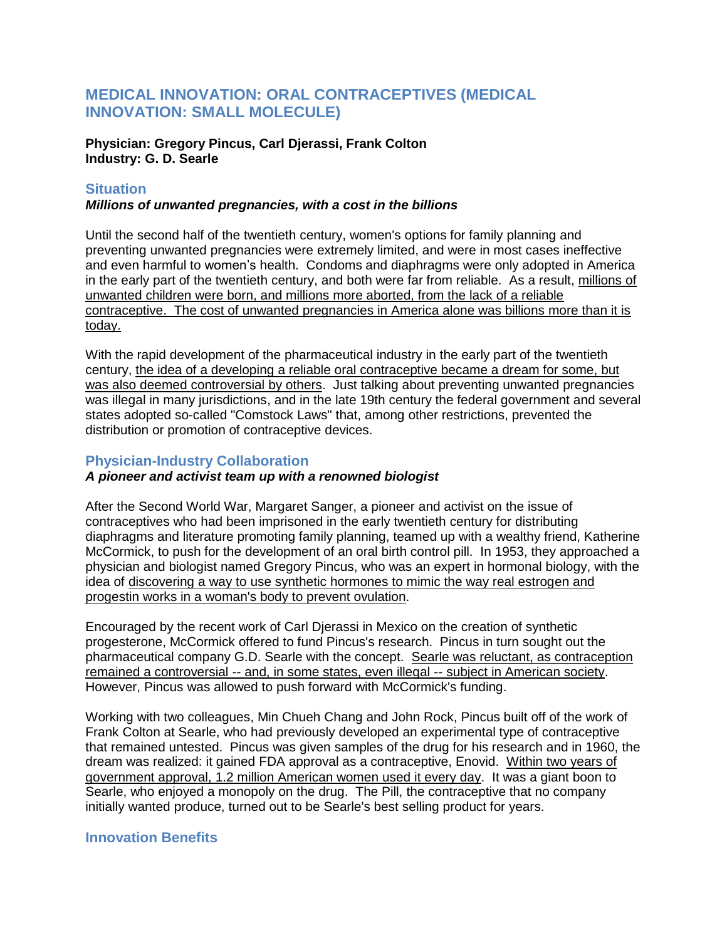# **MEDICAL INNOVATION: ORAL CONTRACEPTIVES (MEDICAL INNOVATION: SMALL MOLECULE)**

**Physician: Gregory Pincus, Carl Djerassi, Frank Colton Industry: G. D. Searle**

#### **Situation**

#### *Millions of unwanted pregnancies, with a cost in the billions*

Until the second half of the twentieth century, women's options for family planning and preventing unwanted pregnancies were extremely limited, and were in most cases ineffective and even harmful to women's health. Condoms and diaphragms were only adopted in America in the early part of the twentieth century, and both were far from reliable. As a result, millions of unwanted children were born, and millions more aborted, from the lack of a reliable contraceptive. The cost of unwanted pregnancies in America alone was billions more than it is today.

With the rapid development of the pharmaceutical industry in the early part of the twentieth century, the idea of a developing a reliable oral contraceptive became a dream for some, but was also deemed controversial by others. Just talking about preventing unwanted pregnancies was illegal in many jurisdictions, and in the late 19th century the federal government and several states adopted so-called "Comstock Laws" that, among other restrictions, prevented the distribution or promotion of contraceptive devices.

## **Physician-Industry Collaboration**

## *A pioneer and activist team up with a renowned biologist*

After the Second World War, Margaret Sanger, a pioneer and activist on the issue of contraceptives who had been imprisoned in the early twentieth century for distributing diaphragms and literature promoting family planning, teamed up with a wealthy friend, Katherine McCormick, to push for the development of an oral birth control pill. In 1953, they approached a physician and biologist named Gregory Pincus, who was an expert in hormonal biology, with the idea of discovering a way to use synthetic hormones to mimic the way real estrogen and progestin works in a woman's body to prevent ovulation.

Encouraged by the recent work of Carl Djerassi in Mexico on the creation of synthetic progesterone, McCormick offered to fund Pincus's research. Pincus in turn sought out the pharmaceutical company G.D. Searle with the concept. Searle was reluctant, as contraception remained a controversial -- and, in some states, even illegal -- subject in American society. However, Pincus was allowed to push forward with McCormick's funding.

Working with two colleagues, Min Chueh Chang and John Rock, Pincus built off of the work of Frank Colton at Searle, who had previously developed an experimental type of contraceptive that remained untested. Pincus was given samples of the drug for his research and in 1960, the dream was realized: it gained FDA approval as a contraceptive, Enovid. Within two years of government approval, 1.2 million American women used it every day. It was a giant boon to Searle, who enjoyed a monopoly on the drug. The Pill, the contraceptive that no company initially wanted produce, turned out to be Searle's best selling product for years.

# **Innovation Benefits**